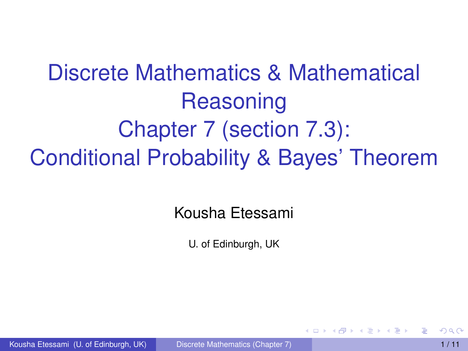# Discrete Mathematics & Mathematical Reasoning Chapter 7 (section 7.3): Conditional Probability & Bayes' Theorem

#### Kousha Etessami

<span id="page-0-0"></span>U. of Edinburgh, UK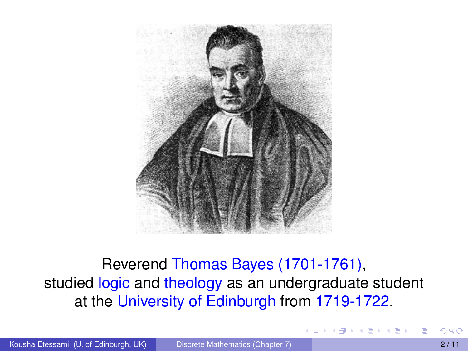

#### Reverend Thomas Bayes (1701-1761), studied logic and theology as an undergraduate student at the University of Edinburgh from 1719-1722.

イロト イ押ト イヨト イヨト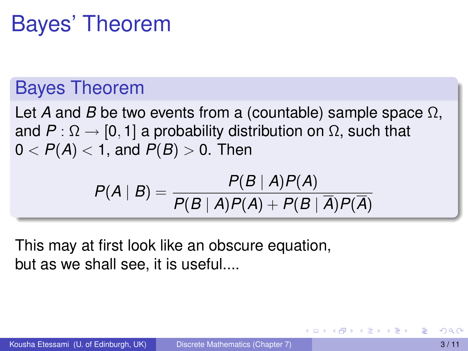# Bayes' Theorem

### Bayes Theorem

Let *A* and *B* be two events from a (countable) sample space Ω, and  $P: \Omega \to [0, 1]$  a probability distribution on  $\Omega$ , such that  $0 < P(A) < 1$ , and  $P(B) > 0$ . Then

$$
P(A | B) = \frac{P(B | A)P(A)}{P(B | A)P(A) + P(B | \overline{A})P(\overline{A})}
$$

This may at first look like an obscure equation, but as we shall see, it is useful....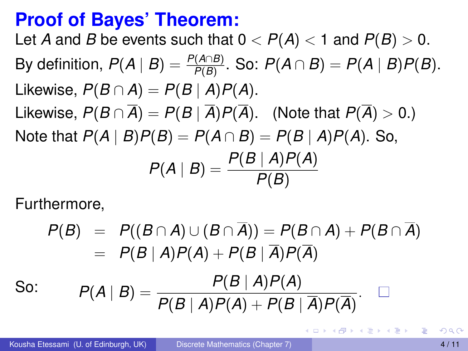### **Proof of Bayes' Theorem:**

Let *A* and *B* be events such that  $0 < P(A) < 1$  and  $P(B) > 0$ . By definition,  $P(A | B) = \frac{P(A \cap B)}{P(B)}$ . So:  $P(A \cap B) = P(A | B)P(B)$ . Likewise,  $P(B \cap A) = P(B \mid A)P(A)$ . Likewise,  $P(B \cap \overline{A}) = P(B | \overline{A})P(\overline{A})$ . (Note that  $P(\overline{A}) > 0$ .) Note that  $P(A | B)P(B) = P(A \cap B) = P(B | A)P(A)$ . So,  $P(A | B) = \frac{P(B | A)P(A)}{P(B)}$ *P*(*B*)

Furthermore,

$$
P(B) = P((B \cap A) \cup (B \cap \overline{A})) = P(B \cap A) + P(B \cap \overline{A})
$$
  
=  $P(B | A)P(A) + P(B | \overline{A})P(\overline{A})$   
So:  $P(A | B) = \frac{P(B | A)P(A)}{P(B | A)P(A) + P(B | \overline{A})P(\overline{A})}$ .

в

 $\mathcal{A}$   $\overline{\mathcal{B}}$   $\rightarrow$   $\mathcal{A}$   $\overline{\mathcal{B}}$   $\rightarrow$   $\mathcal{A}$   $\overline{\mathcal{B}}$   $\rightarrow$   $\mathcal{B}$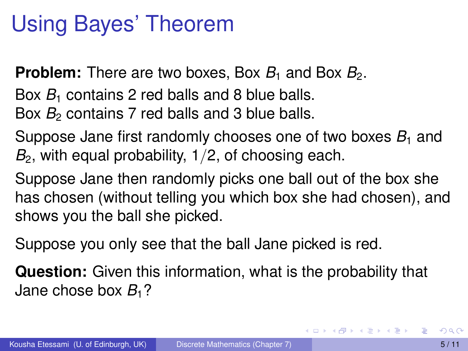# Using Bayes' Theorem

**Problem:** There are two boxes, Box  $B_1$  and Box  $B_2$ .

Box  $B_1$  contains 2 red balls and 8 blue balls.

Box *B*<sub>2</sub> contains 7 red balls and 3 blue balls.

Suppose Jane first randomly chooses one of two boxes  $B_1$  and  $B<sub>2</sub>$ , with equal probability,  $1/2$ , of choosing each.

Suppose Jane then randomly picks one ball out of the box she has chosen (without telling you which box she had chosen), and shows you the ball she picked.

Suppose you only see that the ball Jane picked is red.

**Question:** Given this information, what is the probability that Jane chose box  $B_1$ ?

в

イロト イ押ト イヨト イヨトー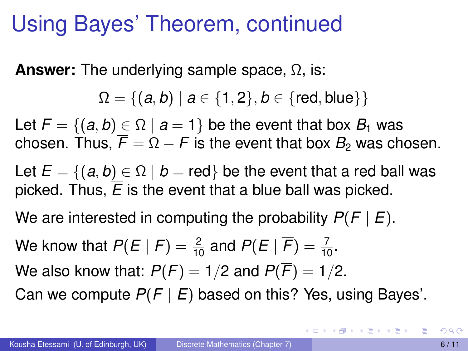## Using Bayes' Theorem, continued

**Answer:** The underlying sample space, Ω, is:

 $\Omega = \{(a, b) \mid a \in \{1, 2\}, b \in \{ \text{red}, \text{blue} \} \}$ 

Let  $F = \{(a, b) \in \Omega \mid a = 1\}$  be the event that box  $B_1$  was chosen. Thus,  $\overline{F} = \Omega - F$  is the event that box  $B_2$  was chosen.

Let  $E = \{(a, b) \in \Omega \mid b = \text{red}\}\$  be the event that a red ball was picked. Thus,  $\overline{E}$  is the event that a blue ball was picked.

We are interested in computing the probability *P*(*F* | *E*).

We know that  $P(E \mid F) = \frac{2}{10}$  and  $P(E \mid \overline{F}) = \frac{7}{10}$ .

We also know that:  $P(F) = 1/2$  and  $P(\overline{F}) = 1/2$ .

Can we compute *P*(*F* | *E*) based on this? Yes, using Bayes'.

 $(0.123 \times 10^{-14} \text{ m}) \times 10^{-14} \text{ m} \times 10^{-14} \text{ m}$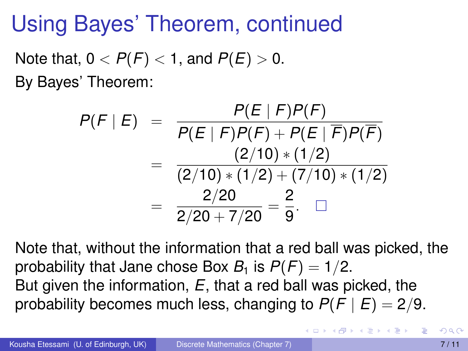# Using Bayes' Theorem, continued

Note that,  $0 < P(F) < 1$ , and  $P(E) > 0$ . By Bayes' Theorem:

$$
P(F | E) = \frac{P(E | F)P(F)}{P(E | F)P(F) + P(E | \overline{F})P(\overline{F})}
$$
  
= 
$$
\frac{(2/10) * (1/2)}{(2/10) * (1/2) + (7/10) * (1/2)}
$$
  
= 
$$
\frac{2/20}{2/20 + 7/20} = \frac{2}{9}.
$$

Note that, without the information that a red ball was picked, the probability that Jane chose Box  $B_1$  is  $P(F) = 1/2$ . But given the information, *E*, that a red ball was picked, the probability becomes much less, changing to  $P(F | E) = 2/9$ .

イロト イ押 トイラ トイラトー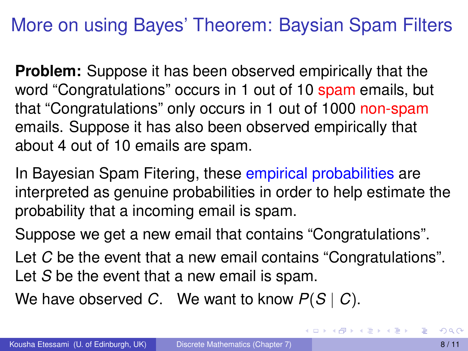### More on using Bayes' Theorem: Baysian Spam Filters

**Problem:** Suppose it has been observed empirically that the word "Congratulations" occurs in 1 out of 10 spam emails, but that "Congratulations" only occurs in 1 out of 1000 non-spam emails. Suppose it has also been observed empirically that about 4 out of 10 emails are spam.

In Bayesian Spam Fitering, these empirical probabilities are interpreted as genuine probabilities in order to help estimate the probability that a incoming email is spam.

Suppose we get a new email that contains "Congratulations".

Let *C* be the event that a new email contains "Congratulations". Let *S* be the event that a new email is spam.

We have observed *C*. We want to know *P*(*S* | *C*).

в

K ロ ▶ K 個 ▶ K 重 ▶ K 重 ▶ …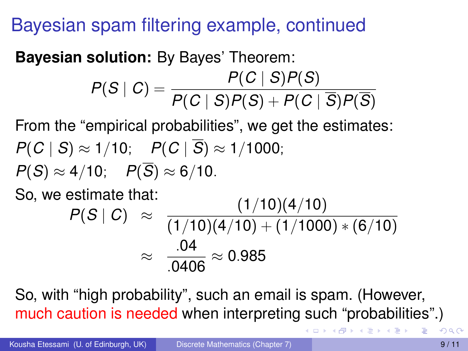### Bayesian spam filtering example, continued

#### **Bayesian solution:** By Bayes' Theorem:

$$
P(S | C) = \frac{P(C | S)P(S)}{P(C | S)P(S) + P(C | \overline{S})P(\overline{S})}
$$

From the "empirical probabilities", we get the estimates: *P*(*C* | *S*) ≈ 1/10; *P*(*C* |  $\overline{S}$ ) ≈ 1/1000:  $P(S) \approx 4/10$ ;  $P(\overline{S}) \approx 6/10$ . So, we estimate that:  $(1/10)(4/10)$ 

$$
P(S | C) \approx \frac{(1/10)(4/10) + (1/1000) * (6/10)}{(1/10)(4/10) + (1/1000) * (6/10)}
$$
  
 
$$
\approx \frac{.04}{.0406} \approx 0.985
$$

So, with "high probability", such an email is spam. (However, much caution is needed when interpreting such "probabilities".)

**RESIDENT**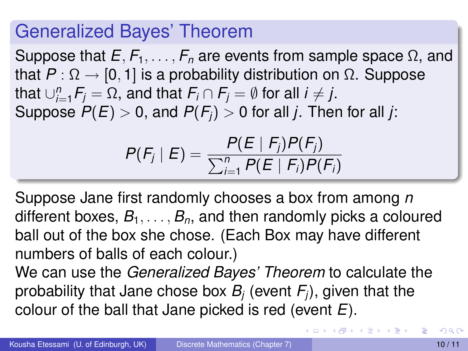### Generalized Bayes' Theorem

Suppose that  $E, F_1, \ldots, F_n$  are events from sample space  $\Omega$ , and that  $P : \Omega \to [0, 1]$  is a probability distribution on  $\Omega$ . Suppose  ${\sf that} \cup_{i=1}^n {\sf F}_j = \Omega,$  and that  ${\sf F}_i \cap {\sf F}_j = \emptyset$  for all  $i \neq j.$ Suppose  $P(E) > 0$ , and  $P(F_i) > 0$  for all *j*. Then for all *j*:

$$
P(F_j | E) = \frac{P(E | F_j)P(F_j)}{\sum_{i=1}^n P(E | F_i)P(F_i)}
$$

Suppose Jane first randomly chooses a box from among *n* different boxes,  $B_1, \ldots, B_n$ , and then randomly picks a coloured ball out of the box she chose. (Each Box may have different numbers of balls of each colour.)

We can use the *Generalized Bayes' Theorem* to calculate the probability that Jane chose box *B<sup>j</sup>* (event *Fj*), given that the colour of the ball that Jane picked is red (event *E*).

в

イロト イ押 トイラ トイラトー